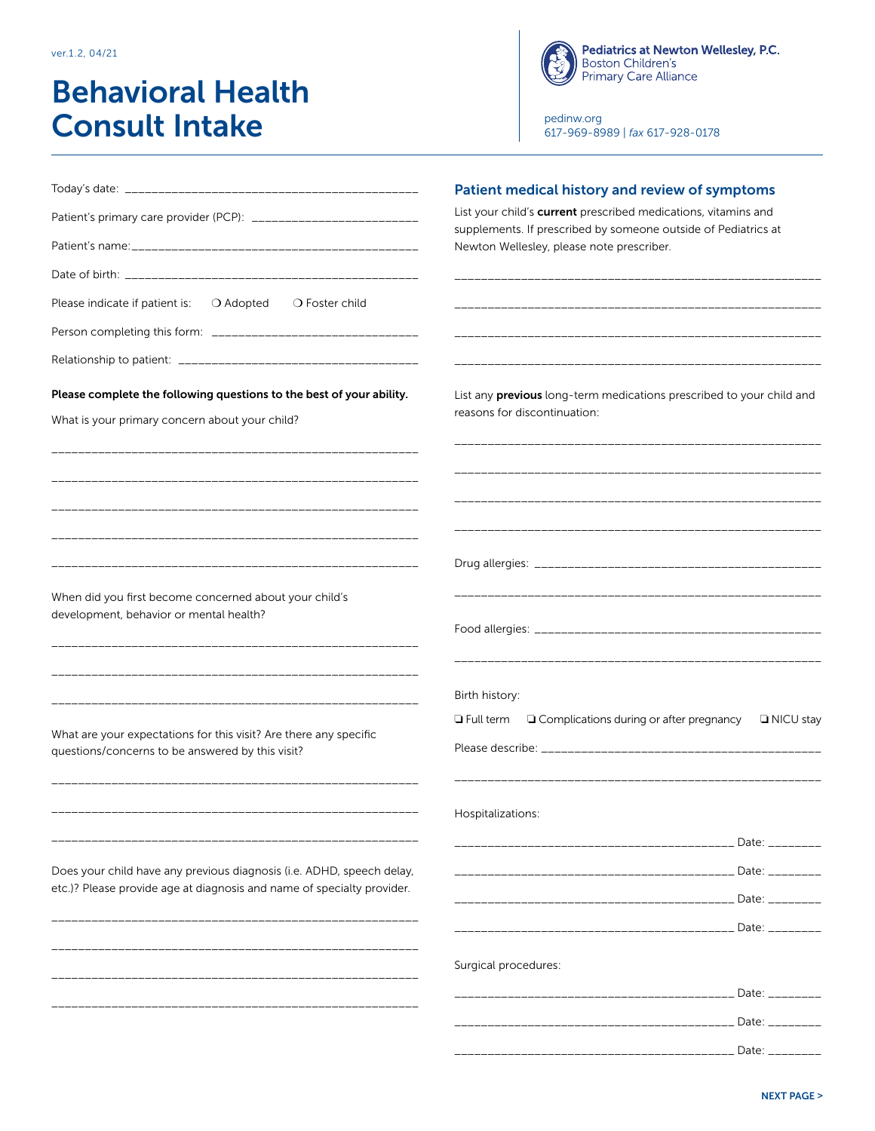ver.1.2, 04/21

# Behavioral Health Consult Intake

**Pediatrics at Newton Wellesley, P.C.**<br>Boston Children's<br>Primary Care Alliance

[pedinw.org](http://pedinw.org) 617-969-8989 | *fax* 617-928-0178

|                                                                                                                                                 | Patient medical history and review of symptoms                                                                                   |
|-------------------------------------------------------------------------------------------------------------------------------------------------|----------------------------------------------------------------------------------------------------------------------------------|
| Patient's primary care provider (PCP): ____________________________                                                                             | List your child's current prescribed medications, vitamins and<br>supplements. If prescribed by someone outside of Pediatrics at |
|                                                                                                                                                 | Newton Wellesley, please note prescriber.                                                                                        |
|                                                                                                                                                 |                                                                                                                                  |
| Please indicate if patient is:<br>○ Adopted<br>$\bigcirc$ Foster child                                                                          |                                                                                                                                  |
|                                                                                                                                                 |                                                                                                                                  |
|                                                                                                                                                 |                                                                                                                                  |
| Please complete the following questions to the best of your ability.<br>What is your primary concern about your child?                          | List any previous long-term medications prescribed to your child and<br>reasons for discontinuation:                             |
|                                                                                                                                                 |                                                                                                                                  |
|                                                                                                                                                 |                                                                                                                                  |
| When did you first become concerned about your child's                                                                                          |                                                                                                                                  |
| development, behavior or mental health?                                                                                                         |                                                                                                                                  |
|                                                                                                                                                 | Birth history:                                                                                                                   |
|                                                                                                                                                 | $\Box$ Full term $\Box$ Complications during or after pregnancy<br><b>I</b> NICU stay                                            |
| What are your expectations for this visit? Are there any specific<br>questions/concerns to be answered by this visit?                           |                                                                                                                                  |
|                                                                                                                                                 | Hospitalizations:                                                                                                                |
|                                                                                                                                                 | Date: ________                                                                                                                   |
| Does your child have any previous diagnosis (i.e. ADHD, speech delay,<br>etc.)? Please provide age at diagnosis and name of specialty provider. |                                                                                                                                  |
|                                                                                                                                                 |                                                                                                                                  |
|                                                                                                                                                 |                                                                                                                                  |
|                                                                                                                                                 | Surgical procedures:                                                                                                             |
|                                                                                                                                                 |                                                                                                                                  |
|                                                                                                                                                 | Date: ________                                                                                                                   |
|                                                                                                                                                 | Date: $\overline{\phantom{0}}$                                                                                                   |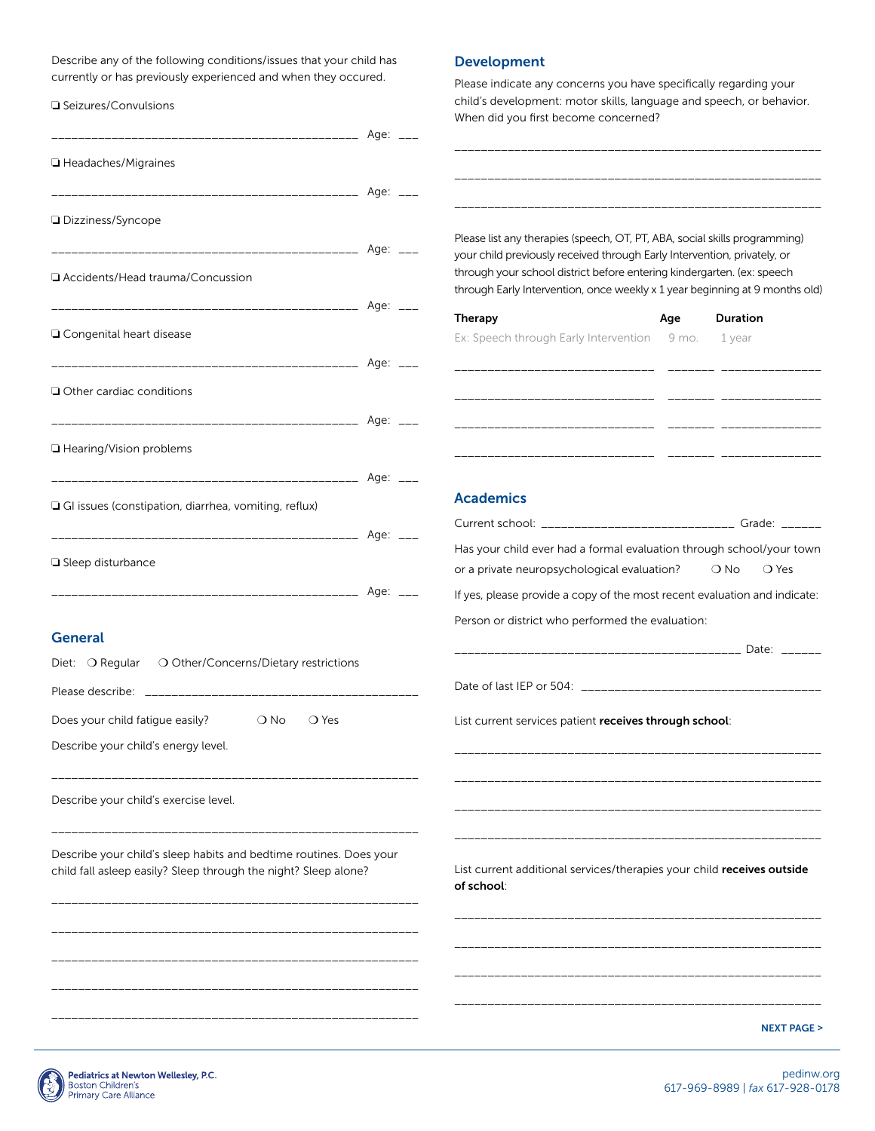Describe any of the following conditions/issues that your child has currently or has previously experienced and when they occured.

\_\_\_\_\_\_\_\_\_\_\_\_\_\_\_\_\_\_\_\_\_\_\_\_\_\_\_\_\_\_\_\_\_\_\_\_\_\_\_\_\_\_\_\_\_\_ Age: \_\_\_

\_\_\_\_\_\_\_\_\_\_\_\_\_\_\_\_\_\_\_\_\_\_\_\_\_\_\_\_\_\_\_\_\_\_\_\_\_\_\_\_\_\_\_\_\_\_ Age: \_\_\_

\_\_\_\_\_\_\_\_\_\_\_\_\_\_\_\_\_\_\_\_\_\_\_\_\_\_\_\_\_\_\_\_\_\_\_\_\_\_\_\_\_\_\_\_\_\_ Age: \_\_\_

\_\_\_\_\_\_\_\_\_\_\_\_\_\_\_\_\_\_\_\_\_\_\_\_\_\_\_\_\_\_\_\_\_\_\_\_\_\_\_\_\_\_\_\_\_\_ Age: \_\_\_

\_\_\_\_\_\_\_\_\_\_\_\_\_\_\_\_\_\_\_\_\_\_\_\_\_\_\_\_\_\_\_\_\_\_\_\_\_\_\_\_\_\_\_\_\_\_ Age: \_\_\_

\_\_\_\_\_\_\_\_\_\_\_\_\_\_\_\_\_\_\_\_\_\_\_\_\_\_\_\_\_\_\_\_\_\_\_\_\_\_\_\_\_\_\_\_\_\_ Age: \_\_\_

\_\_\_\_\_\_\_\_\_\_\_\_\_\_\_\_\_\_\_\_\_\_\_\_\_\_\_\_\_\_\_\_\_\_\_\_\_\_\_\_\_\_\_\_\_\_ Age: \_\_\_

#### ❏ Seizures/Convulsions

❏ Headaches/Migraines

❏ Dizziness/Syncope

❏ Congenital heart disease

❏ Other cardiac conditions

❏ Hearing/Vision problems

❏ GI issues (constipation, diarrhea, vomiting, reflux)

❏ Accidents/Head trauma/Concussion

#### Development

Please indicate any concerns you have specifically regarding your child's development: motor skills, language and speech, or behavior. When did you first become concerned?

\_\_\_\_\_\_\_\_\_\_\_\_\_\_\_\_\_\_\_\_\_\_\_\_\_\_\_\_\_\_\_\_\_\_\_\_\_\_\_\_\_\_\_\_\_\_\_\_\_\_\_\_\_\_\_

\_\_\_\_\_\_\_\_\_\_\_\_\_\_\_\_\_\_\_\_\_\_\_\_\_\_\_\_\_\_\_\_\_\_\_\_\_\_\_\_\_\_\_\_\_\_\_\_\_\_\_\_\_\_\_

\_\_\_\_\_\_\_\_\_\_\_\_\_\_\_\_\_\_\_\_\_\_\_\_\_\_\_\_\_\_\_\_\_\_\_\_\_\_\_\_\_\_\_\_\_\_\_\_\_\_\_\_\_\_\_ Please list any therapies (speech, OT, PT, ABA, social skills programming) your child previously received through Early Intervention, privately, or through your school district before entering kindergarten. (ex: speech through Early Intervention, once weekly x 1 year beginning at 9 months old)

| <b>Therapy</b>                                     | Age | <b>Duration</b> |  |
|----------------------------------------------------|-----|-----------------|--|
| Ex: Speech through Early Intervention 9 mo. 1 year |     |                 |  |
|                                                    |     |                 |  |
|                                                    |     |                 |  |
|                                                    |     |                 |  |
|                                                    |     |                 |  |
|                                                    |     |                 |  |

#### Academics

|                                                                                                                                       | Current school: _________________________________ Grade: ______                      |
|---------------------------------------------------------------------------------------------------------------------------------------|--------------------------------------------------------------------------------------|
|                                                                                                                                       | Has your child ever had a formal evaluation through school/your town                 |
| Sleep disturbance                                                                                                                     | or a private neuropsychological evaluation?<br>○ Yes<br>$\bigcirc$ No                |
|                                                                                                                                       | If yes, please provide a copy of the most recent evaluation and indicate:            |
|                                                                                                                                       | Person or district who performed the evaluation:                                     |
| <b>General</b>                                                                                                                        |                                                                                      |
| Diet: O Regular<br>O Other/Concerns/Dietary restrictions                                                                              |                                                                                      |
|                                                                                                                                       |                                                                                      |
| Does your child fatigue easily?<br>○ Yes<br>$\bigcirc$ No                                                                             | List current services patient receives through school:                               |
| Describe your child's energy level.                                                                                                   |                                                                                      |
| Describe your child's exercise level.                                                                                                 |                                                                                      |
| Describe your child's sleep habits and bedtime routines. Does your<br>child fall asleep easily? Sleep through the night? Sleep alone? | List current additional services/therapies your child receives outside<br>of school: |
|                                                                                                                                       |                                                                                      |
|                                                                                                                                       |                                                                                      |
|                                                                                                                                       | <b>NEXT PAGE &gt;</b>                                                                |

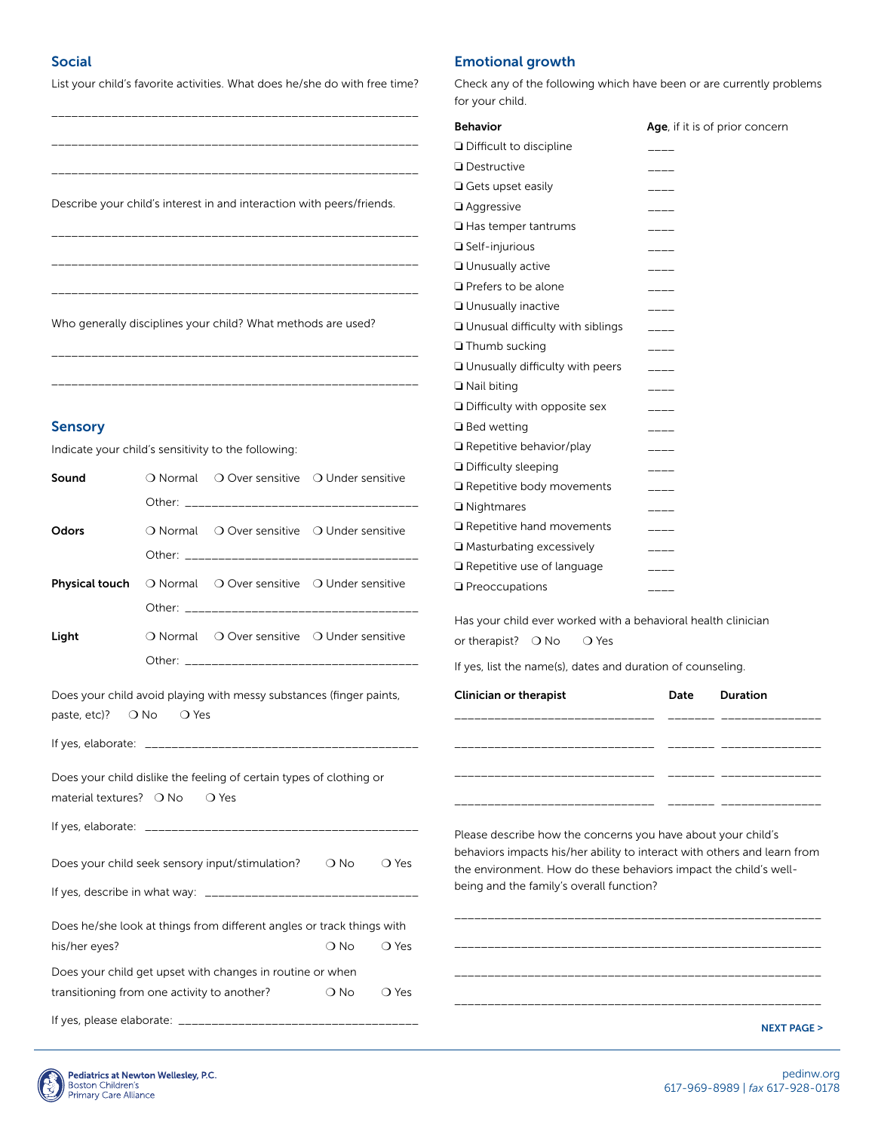## Social

List your child's favorite activities. What does he/she do with free time?

## Emotional growth

Check any of the following which have been or are currently problems for your child.

|                                  |                                                                       |                        | <b>Behavior</b>                                                  | Age, if it is of prior concern                                           |
|----------------------------------|-----------------------------------------------------------------------|------------------------|------------------------------------------------------------------|--------------------------------------------------------------------------|
|                                  |                                                                       |                        | □ Difficult to discipline                                        |                                                                          |
|                                  |                                                                       |                        | <b>Destructive</b>                                               |                                                                          |
|                                  |                                                                       |                        | $\Box$ Gets upset easily                                         |                                                                          |
|                                  | Describe your child's interest in and interaction with peers/friends. |                        | $\Box$ Aggressive                                                |                                                                          |
|                                  |                                                                       |                        | $\Box$ Has temper tantrums                                       | ____                                                                     |
|                                  |                                                                       |                        | $\Box$ Self-injurious                                            | $----$                                                                   |
|                                  |                                                                       |                        | <b>Unusually active</b>                                          |                                                                          |
|                                  |                                                                       |                        | $\Box$ Prefers to be alone                                       |                                                                          |
|                                  |                                                                       |                        | Unusually inactive                                               |                                                                          |
|                                  | Who generally disciplines your child? What methods are used?          |                        | □ Unusual difficulty with siblings                               |                                                                          |
|                                  |                                                                       |                        | Thumb sucking                                                    |                                                                          |
|                                  |                                                                       |                        | □ Unusually difficulty with peers                                | ----<br>$\qquad \qquad - \qquad -$                                       |
|                                  |                                                                       |                        | $\Box$ Nail biting                                               |                                                                          |
|                                  |                                                                       |                        | Difficulty with opposite sex                                     |                                                                          |
| <b>Sensory</b>                   |                                                                       |                        | $\Box$ Bed wetting                                               | ----                                                                     |
|                                  |                                                                       |                        | $\Box$ Repetitive behavior/play                                  | ----                                                                     |
|                                  | Indicate your child's sensitivity to the following:                   |                        | □ Difficulty sleeping                                            |                                                                          |
| Sound                            | O Normal O Over sensitive O Under sensitive                           |                        | Repetitive body movements                                        | $\qquad \qquad \overline{\qquad \qquad }$                                |
|                                  |                                                                       |                        | $\Box$ Nightmares                                                | $\qquad \qquad - \qquad -$                                               |
|                                  |                                                                       |                        |                                                                  |                                                                          |
| Odors                            | O Normal O Over sensitive O Under sensitive                           |                        | $\Box$ Repetitive hand movements                                 | $---$                                                                    |
|                                  |                                                                       |                        | □ Masturbating excessively                                       | $\qquad \qquad - \qquad -$                                               |
| <b>Physical touch</b>            | O Normal O Over sensitive O Under sensitive                           |                        | Repetitive use of language                                       |                                                                          |
|                                  |                                                                       |                        | <b>Q</b> Preoccupations                                          | -----                                                                    |
|                                  |                                                                       |                        | Has your child ever worked with a behavioral health clinician    |                                                                          |
| Light                            | O Normal O Over sensitive O Under sensitive                           |                        | or therapist? $\bigcirc$ No<br>○ Yes                             |                                                                          |
|                                  |                                                                       |                        | If yes, list the name(s), dates and duration of counseling.      |                                                                          |
|                                  | Does your child avoid playing with messy substances (finger paints,   |                        | Clinician or therapist                                           | Date<br>Duration                                                         |
| paste, etc)? $\bigcirc$ No       | O Yes                                                                 |                        |                                                                  |                                                                          |
|                                  |                                                                       |                        |                                                                  |                                                                          |
|                                  |                                                                       |                        |                                                                  |                                                                          |
|                                  | Does your child dislike the feeling of certain types of clothing or   |                        |                                                                  |                                                                          |
| material textures? $\bigcirc$ No | $\bigcirc$ Yes                                                        |                        |                                                                  |                                                                          |
|                                  |                                                                       |                        |                                                                  |                                                                          |
|                                  |                                                                       |                        | Please describe how the concerns you have about your child's     |                                                                          |
|                                  | Does your child seek sensory input/stimulation?                       | $\bigcirc$ No<br>○ Yes |                                                                  | behaviors impacts his/her ability to interact with others and learn from |
|                                  |                                                                       |                        | the environment. How do these behaviors impact the child's well- |                                                                          |
|                                  |                                                                       |                        | being and the family's overall function?                         |                                                                          |
|                                  | Does he/she look at things from different angles or track things with |                        |                                                                  |                                                                          |
| his/her eyes?                    |                                                                       | $\bigcirc$ No<br>○ Yes |                                                                  |                                                                          |
|                                  | Does your child get upset with changes in routine or when             |                        |                                                                  |                                                                          |
|                                  | transitioning from one activity to another?                           | $\bigcirc$ No<br>○ Yes |                                                                  |                                                                          |
|                                  |                                                                       |                        |                                                                  |                                                                          |
|                                  |                                                                       |                        |                                                                  | <b>NEXT PAGE &gt;</b>                                                    |